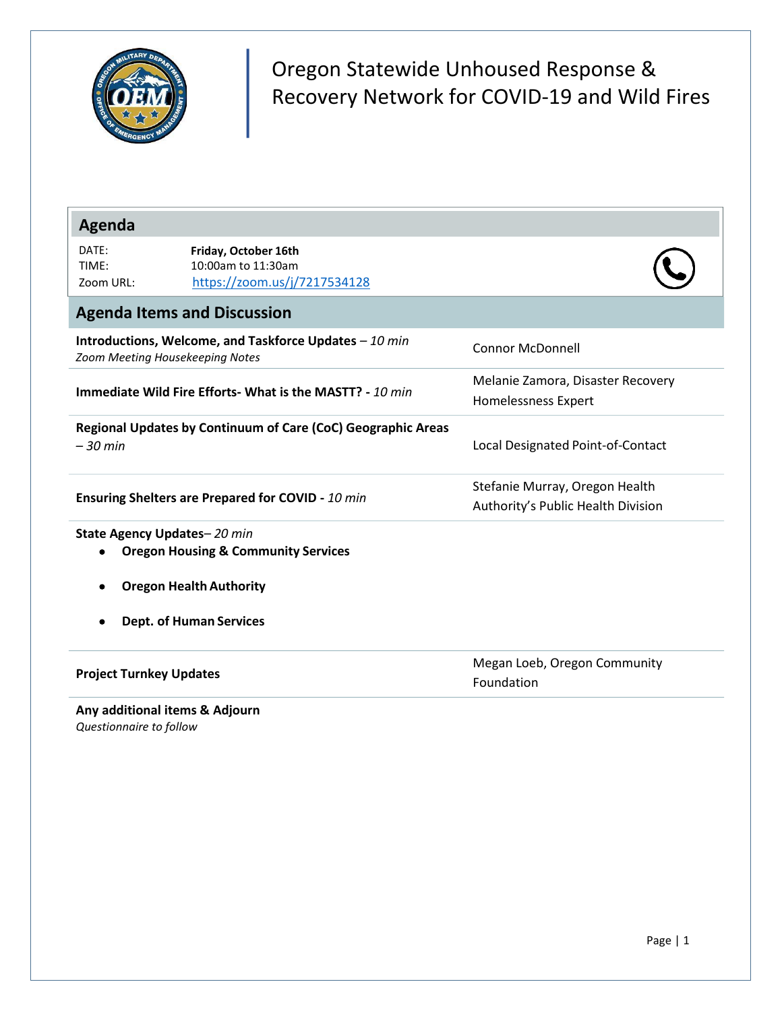

Oregon Statewide Unhoused Response & Recovery Network for COVID-19 and Wild Fires

| Agenda                                                                                    |                                                                            |                                                                      |
|-------------------------------------------------------------------------------------------|----------------------------------------------------------------------------|----------------------------------------------------------------------|
| DATE:<br>TIME:<br>Zoom URL:                                                               | Friday, October 16th<br>10:00am to 11:30am<br>https://zoom.us/j/7217534128 |                                                                      |
|                                                                                           | <b>Agenda Items and Discussion</b>                                         |                                                                      |
| Introductions, Welcome, and Taskforce Updates - 10 min<br>Zoom Meeting Housekeeping Notes |                                                                            | <b>Connor McDonnell</b>                                              |
| Immediate Wild Fire Efforts- What is the MASTT? - 10 min                                  |                                                                            | Melanie Zamora, Disaster Recovery<br>Homelessness Expert             |
| $-30$ min                                                                                 | Regional Updates by Continuum of Care (CoC) Geographic Areas               | Local Designated Point-of-Contact                                    |
| Ensuring Shelters are Prepared for COVID - 10 min                                         |                                                                            | Stefanie Murray, Oregon Health<br>Authority's Public Health Division |
| State Agency Updates-20 min                                                               | <b>Oregon Housing &amp; Community Services</b>                             |                                                                      |
|                                                                                           | <b>Oregon Health Authority</b>                                             |                                                                      |
|                                                                                           | <b>Dept. of Human Services</b>                                             |                                                                      |
| <b>Project Turnkey Updates</b>                                                            |                                                                            | Megan Loeb, Oregon Community<br>Foundation                           |
| Any additional items & Adjourn<br>Questionnaire to follow                                 |                                                                            |                                                                      |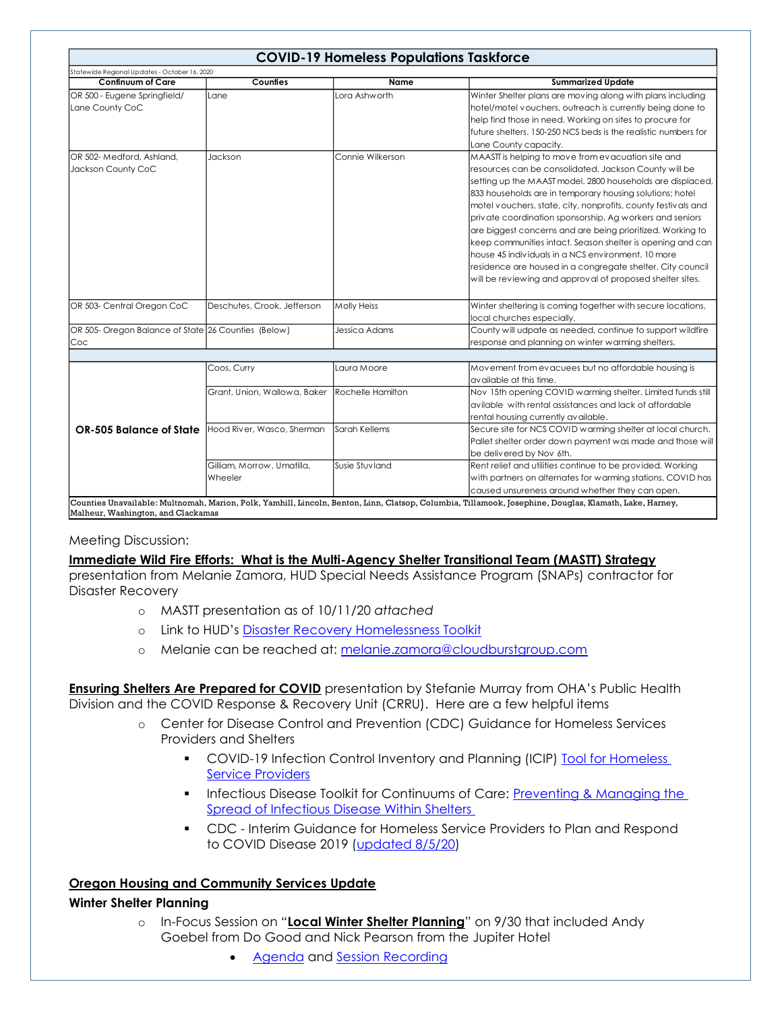|                                                     |                              | <b>COVID-19 Homeless Populations Taskforce</b> |                                                                |  |
|-----------------------------------------------------|------------------------------|------------------------------------------------|----------------------------------------------------------------|--|
| Statewide Regional Updates - October 16, 2020       |                              |                                                |                                                                |  |
| <b>Continuum of Care</b>                            | Counties                     | <b>Name</b>                                    | <b>Summarized Update</b>                                       |  |
| OR 500 - Eugene Springfield/                        | Lane                         | Lora Ashworth                                  | Winter Shelter plans are moving along with plans including     |  |
| Lane County CoC                                     |                              |                                                | hotel/motel vouchers, outreach is currently being done to      |  |
|                                                     |                              |                                                | help find those in need. Working on sites to procure for       |  |
|                                                     |                              |                                                | future shelters, 150-250 NCS beds is the realistic numbers for |  |
|                                                     |                              |                                                | Lane County capacity.                                          |  |
| OR 502- Medford, Ashland,                           | Jackson                      | Connie Wilkerson                               | MAASTI is helping to move from evacuation site and             |  |
| Jackson County CoC                                  |                              |                                                | resources can be consolidated. Jackson County will be          |  |
|                                                     |                              |                                                | setting up the MAAST model. 2800 households are displaced,     |  |
|                                                     |                              |                                                | 833 households are in temporary housing solutions; hotel       |  |
|                                                     |                              |                                                | motel vouchers, state, city, nonprofits, county festivals and  |  |
|                                                     |                              |                                                | private coordination sponsorship. Ag workers and seniors       |  |
|                                                     |                              |                                                | are biggest concerns and are being prioritized. Working to     |  |
|                                                     |                              |                                                | keep communities intact. Season shelter is opening and can     |  |
|                                                     |                              |                                                | house 45 individuals in a NCS environment. 10 more             |  |
|                                                     |                              |                                                | residence are housed in a congregate shelter. City council     |  |
|                                                     |                              |                                                | will be reviewing and approval of proposed shelter sites.      |  |
| OR 503- Central Oregon CoC                          | Deschutes, Crook, Jefferson  | <b>Molly Heiss</b>                             | Winter sheltering is coming together with secure locations,    |  |
|                                                     |                              |                                                | local churches especially.                                     |  |
| OR 505- Oregon Balance of State 26 Counties (Below) |                              | Jessica Adams                                  | County will udpate as needed, continue to support wildfire     |  |
| Coc                                                 |                              |                                                | response and planning on winter warming shelters.              |  |
|                                                     |                              |                                                |                                                                |  |
|                                                     | Coos, Curry                  | Laura Moore                                    | Movement from evacuees but no affordable housing is            |  |
|                                                     |                              |                                                | available at this time.                                        |  |
|                                                     | Grant, Union, Wallowa, Baker | Rochelle Hamilton                              | Nov 15th opening COVID warming shelter. Limited funds still    |  |
|                                                     |                              |                                                | avilable with rental assistances and lack of affordable        |  |
|                                                     |                              |                                                | rental housing currently available.                            |  |
| OR-505 Balance of State                             | Hood River, Wasco, Sherman   | Sarah Kellems                                  | Secure site for NCS COVID warming shelter at local church.     |  |
|                                                     |                              |                                                | Pallet shelter order down payment was made and those will      |  |
|                                                     |                              |                                                | be delivered by Nov 6th.                                       |  |
|                                                     | Gilliam, Morrow, Umatilla,   | Susie Stuvland                                 | Rent relief and utilities continue to be provided. Working     |  |
|                                                     | Wheeler                      |                                                | with partners on alternates for warming stations. COVID has    |  |
|                                                     |                              |                                                | caused unsureness around whether they can open.                |  |

## Meeting Discussion:

## **Immediate Wild Fire Efforts: What is the Multi-Agency Shelter Transitional Team (MASTT) Strategy**

presentation from Melanie Zamora, HUD Special Needs Assistance Program (SNAPs) contractor for Disaster Recovery

- o MASTT presentation as of 10/11/20 *attached*
- o Link to HUD's [Disaster Recovery Homelessness Toolkit](https://www.hudexchange.info/news/disaster-recovery-homelessness-toolkit-recovery-guide-for-local-jurisdictions-now-available/)
- o Melanie can be reached at: [melanie.zamora@cloudburstgroup.com](mailto:melanie.zamora@cloudburstgroup.com)

**Ensuring Shelters Are Prepared for COVID** presentation by Stefanie Murray from OHA's Public Health Division and the COVID Response & Recovery Unit (CRRU). Here are a few helpful items

- o Center for Disease Control and Prevention (CDC) Guidance for Homeless Services Providers and Shelters
	- **COVID-19 Infection Control Inventory and Planning (ICIP) Tool for Homeless** [Service Providers](https://www.cdc.gov/coronavirus/2019-ncov/community/homeless-shelters/infection-control-inventory-planning-tool.pdf)
	- **·** Infectious Disease Toolkit for Continuums of Care: Preventing & Managing the [Spread of Infectious Disease Within Shelters](https://files.hudexchange.info/resources/documents/Infectious-Disease-Toolkit-for-CoCs-Preventing-and-Managing-the-Spread-of-Infectious-Disease-within-Shelters.pdf)
	- CDC Interim Guidance for Homeless Service Providers to Plan and Respond to COVID Disease 2019 [\(updated 8/5/20\)](https://www.cdc.gov/coronavirus/2019-ncov/community/homeless-shelters/plan-prepare-respond.html)

## **Oregon Housing and Community Services Update**

## **Winter Shelter Planning**

- o In-Focus Session on "**Local Winter Shelter Planning**" on 9/30 that included Andy Goebel from Do Good and Nick Pearson from the Jupiter Hotel
	- [Agenda](https://www.oregon.gov/ohcs/get-involved/Documents/committees/HTF/09-30-2020-In-Focus-Shelter-Agenda.pdf) and [Session Recording](https://drive.google.com/file/d/1qUCAkXJmKXbW5SVXgiRRad9tZ7eFtLS0/view)